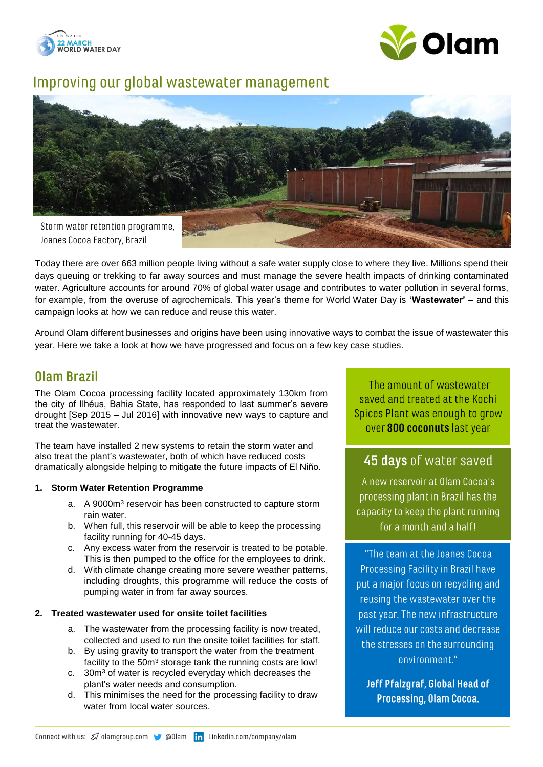



# Improving our global wastewater management



Today there are over 663 million people living without a safe water supply close to where they live. Millions spend their days queuing or trekking to far away sources and must manage the severe health impacts of drinking contaminated water. Agriculture accounts for around 70% of global water usage and contributes to water pollution in several forms, for example, from the overuse of agrochemicals. This year's theme for World Water Day is **'Wastewater'** – and this campaign looks at how we can reduce and reuse this water.

Around Olam different businesses and origins have been using innovative ways to combat the issue of wastewater this year. Here we take a look at how we have progressed and focus on a few key case studies.

## Olam Brazil

The Olam Cocoa processing facility located approximately 130km from the city of Ilhéus, Bahia State, has responded to last summer's severe drought [Sep 2015 – Jul 2016] with innovative new ways to capture and treat the wastewater.

The team have installed 2 new systems to retain the storm water and also treat the plant's wastewater, both of which have reduced costs dramatically alongside helping to mitigate the future impacts of El Niño.

### **1. Storm Water Retention Programme**

- a. A 9000m<sup>3</sup> reservoir has been constructed to capture storm rain water.
- b. When full, this reservoir will be able to keep the processing facility running for 40-45 days.
- c. Any excess water from the reservoir is treated to be potable. This is then pumped to the office for the employees to drink.
- d. With climate change creating more severe weather patterns, including droughts, this programme will reduce the costs of pumping water in from far away sources.

#### **2. Treated wastewater used for onsite toilet facilities**

- a. The wastewater from the processing facility is now treated, collected and used to run the onsite toilet facilities for staff.
- b. By using gravity to transport the water from the treatment facility to the 50m<sup>3</sup> storage tank the running costs are low!
- c. 30m<sup>3</sup> of water is recycled everyday which decreases the plant's water needs and consumption.
- d. This minimises the need for the processing facility to draw water from local water sources.

The amount of wastewater saved and treated at the Kochi Spices Plant was enough to grow over 800 coconuts last year

### **45 days** of water saved

A new reservoir at Olam Cocoa's processing plant in Brazil has the capacity to keep the plant running for a month and a half!

"The team at the Joanes Cocoal Processing Facility in Brazil have put a major focus on recycling and reusing the wastewater over the past year. The new infrastructure will reduce our costs and decrease the stresses on the surrounding environment."

**Jeff Pfalzgraf, Global Head of** Processing, Olam Cocoa.